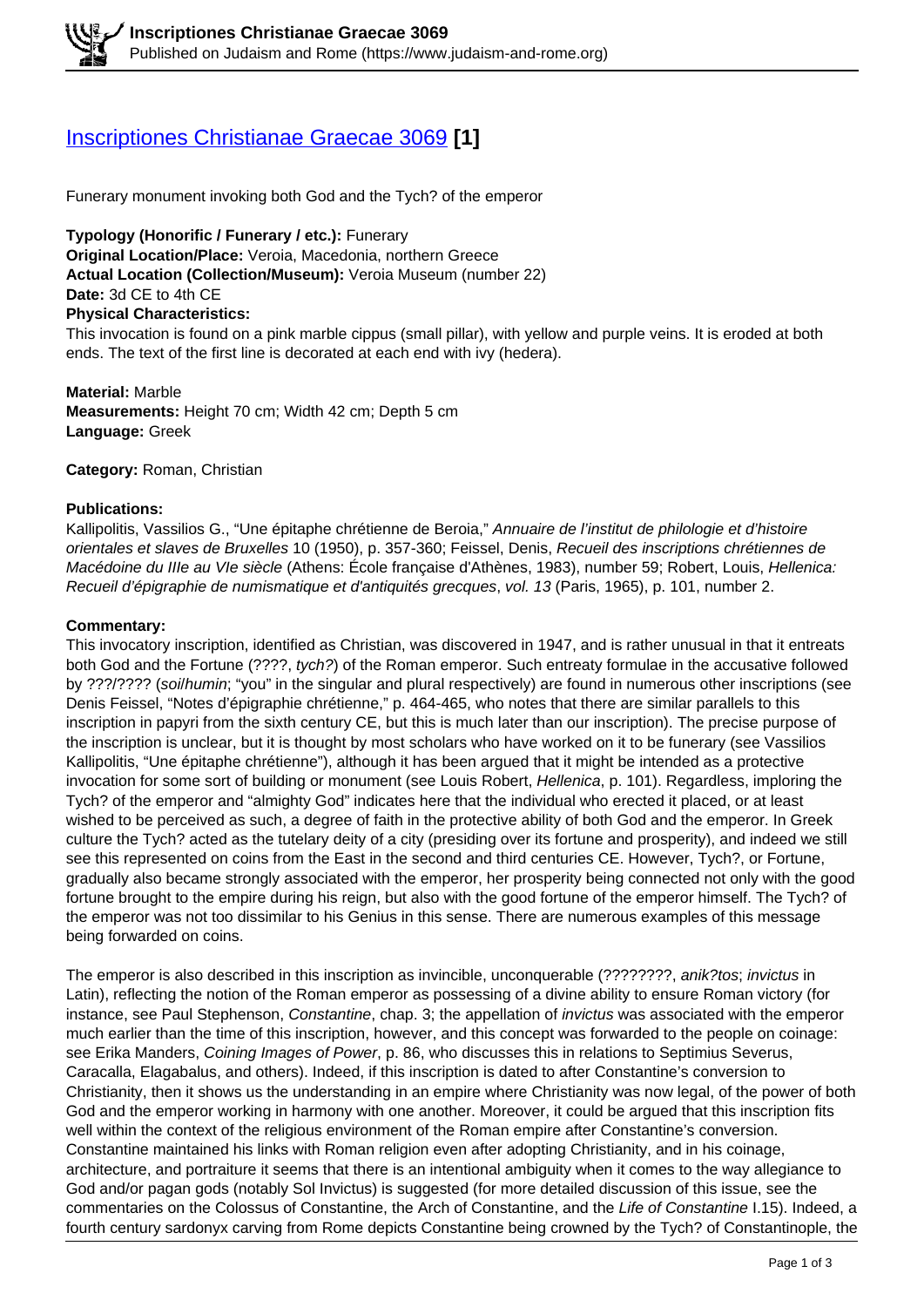# [Inscriptiones Christianae Graecae 3069](https://www.judaism-and-rome.org/inscriptiones-christianae-graecae-3069) **[1]**

Funerary monument invoking both God and the Tych? of the emperor

**Typology (Honorific / Funerary / etc.):** Funerary **Original Location/Place:** Veroia, Macedonia, northern Greece **Actual Location (Collection/Museum):** Veroia Museum (number 22) **Date:** 3d CE to 4th CE **Physical Characteristics:**  This invocation is found on a pink marble cippus (small pillar), with yellow and purple veins. It is eroded at both ends. The text of the first line is decorated at each end with ivy (hedera).

**Material:** Marble **Measurements:** Height 70 cm; Width 42 cm; Depth 5 cm **Language:** Greek

**Category:** Roman, Christian

### **Publications:**

Kallipolitis, Vassilios G., "Une épitaphe chrétienne de Beroia," Annuaire de l'institut de philologie et d'histoire orientales et slaves de Bruxelles 10 (1950), p. 357-360; Feissel, Denis, Recueil des inscriptions chrétiennes de Macédoine du IIIe au VIe siècle (Athens: École française d'Athènes, 1983), number 59; Robert, Louis, Hellenica: Recueil d'épigraphie de numismatique et d'antiquités grecques, vol. 13 (Paris, 1965), p. 101, number 2.

### **Commentary:**

This invocatory inscription, identified as Christian, was discovered in 1947, and is rather unusual in that it entreats both God and the Fortune (????, tych?) of the Roman emperor. Such entreaty formulae in the accusative followed by ???/???? (soi/humin; "you" in the singular and plural respectively) are found in numerous other inscriptions (see Denis Feissel, "Notes d'épigraphie chrétienne," p. 464-465, who notes that there are similar parallels to this inscription in papyri from the sixth century CE, but this is much later than our inscription). The precise purpose of the inscription is unclear, but it is thought by most scholars who have worked on it to be funerary (see Vassilios Kallipolitis, "Une épitaphe chrétienne"), although it has been argued that it might be intended as a protective invocation for some sort of building or monument (see Louis Robert, *Hellenica*, p. 101). Regardless, imploring the Tych? of the emperor and "almighty God" indicates here that the individual who erected it placed, or at least wished to be perceived as such, a degree of faith in the protective ability of both God and the emperor. In Greek culture the Tych? acted as the tutelary deity of a city (presiding over its fortune and prosperity), and indeed we still see this represented on coins from the East in the second and third centuries CE. However, Tych?, or Fortune, gradually also became strongly associated with the emperor, her prosperity being connected not only with the good fortune brought to the empire during his reign, but also with the good fortune of the emperor himself. The Tych? of the emperor was not too dissimilar to his Genius in this sense. There are numerous examples of this message being forwarded on coins.

The emperor is also described in this inscription as invincible, unconquerable (????????, anik?tos; invictus in Latin), reflecting the notion of the Roman emperor as possessing of a divine ability to ensure Roman victory (for instance, see Paul Stephenson, Constantine, chap. 3; the appellation of *invictus* was associated with the emperor much earlier than the time of this inscription, however, and this concept was forwarded to the people on coinage: see Erika Manders, Coining Images of Power, p. 86, who discusses this in relations to Septimius Severus, Caracalla, Elagabalus, and others). Indeed, if this inscription is dated to after Constantine's conversion to Christianity, then it shows us the understanding in an empire where Christianity was now legal, of the power of both God and the emperor working in harmony with one another. Moreover, it could be argued that this inscription fits well within the context of the religious environment of the Roman empire after Constantine's conversion. Constantine maintained his links with Roman religion even after adopting Christianity, and in his coinage, architecture, and portraiture it seems that there is an intentional ambiguity when it comes to the way allegiance to God and/or pagan gods (notably Sol Invictus) is suggested (for more detailed discussion of this issue, see the commentaries on the Colossus of Constantine, the Arch of Constantine, and the Life of Constantine I.15). Indeed, a fourth century sardonyx carving from Rome depicts Constantine being crowned by the Tych? of Constantinople, the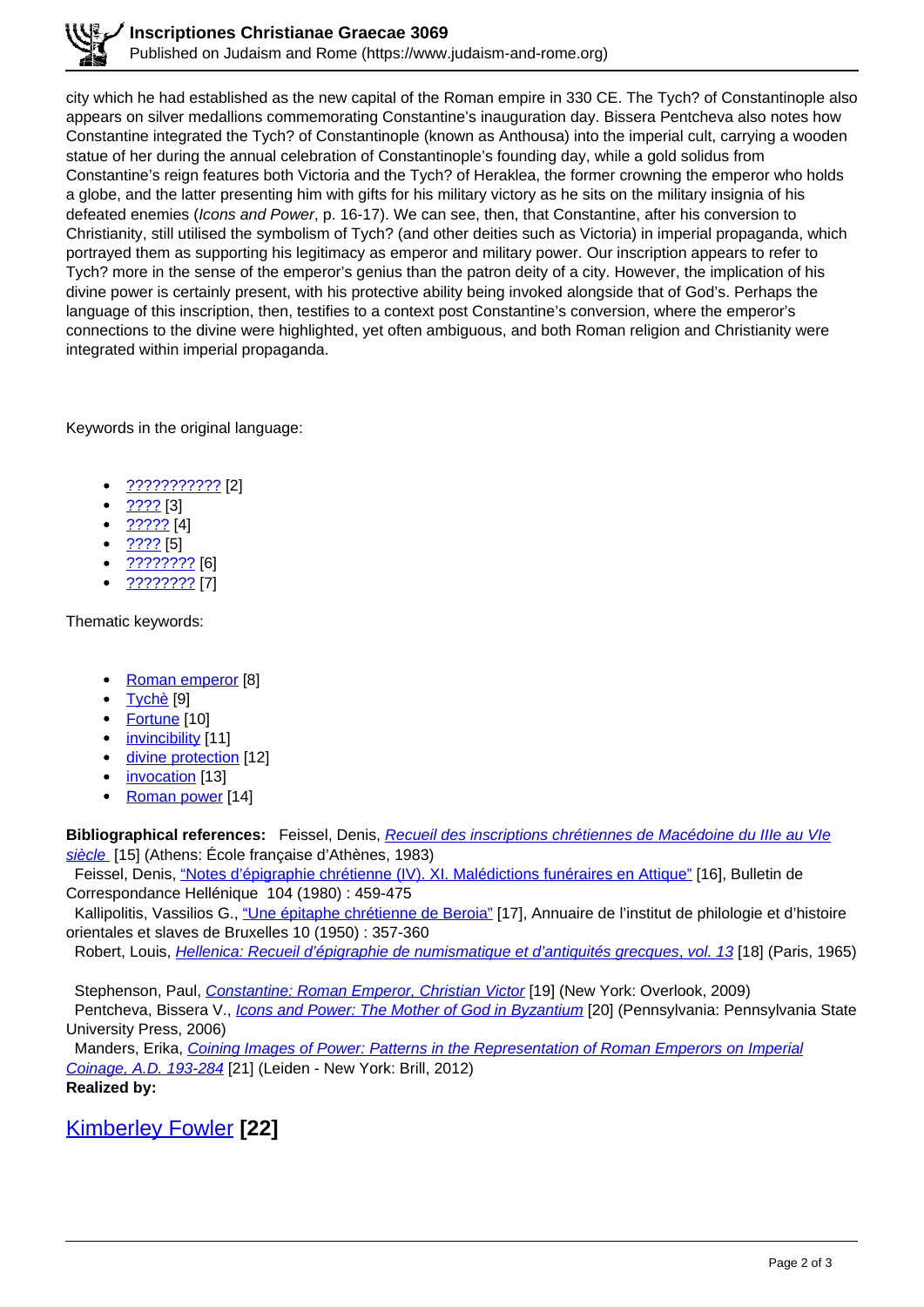city which he had established as the new capital of the Roman empire in 330 CE. The Tych? of Constantinople also appears on silver medallions commemorating Constantine's inauguration day. Bissera Pentcheva also notes how Constantine integrated the Tych? of Constantinople (known as Anthousa) into the imperial cult, carrying a wooden statue of her during the annual celebration of Constantinople's founding day, while a gold solidus from Constantine's reign features both Victoria and the Tych? of Heraklea, the former crowning the emperor who holds a globe, and the latter presenting him with gifts for his military victory as he sits on the military insignia of his defeated enemies (Icons and Power, p. 16-17). We can see, then, that Constantine, after his conversion to Christianity, still utilised the symbolism of Tych? (and other deities such as Victoria) in imperial propaganda, which portrayed them as supporting his legitimacy as emperor and military power. Our inscription appears to refer to Tych? more in the sense of the emperor's genius than the patron deity of a city. However, the implication of his divine power is certainly present, with his protective ability being invoked alongside that of God's. Perhaps the language of this inscription, then, testifies to a context post Constantine's conversion, where the emperor's connections to the divine were highlighted, yet often ambiguous, and both Roman religion and Christianity were integrated within imperial propaganda.

Keywords in the original language:

- ??????????? [2]
- ???? [3]
- ????? [4]
- ???? [5]
- ???????? [6]
- ???????? [7]

Thematic keywords:

- Roman emperor [8]
- <u>Tychè</u> [9]
- Fortune [10]
- invincibility [11]
- divine protection [12]
- invocation [13]
- Roman power [14]

**Bibliographical references:** Feissel, Denis, Recueil des inscriptions chrétiennes de Macédoine du IIIe au VIe siècle [15] (Athens: École française d'Athènes, 1983)

Feissel, Denis, "Notes d'épigraphie chrétienne (IV). XI. Malédictions funéraires en Attique" [16], Bulletin de Correspondance Hellénique 104 (1980) : 459-475

Kallipolitis, Vassilios G., "Une épitaphe chrétienne de Beroia" [17], Annuaire de l'institut de philologie et d'histoire orientales et slaves de Bruxelles 10 (1950) : 357-360

Robert, Louis, *Hellenica: Recueil d'épigraphie de numismatique et d'antiquités grecques, vol. 13* [18] (Paris, 1965)

Stephenson, Paul, Constantine: Roman Emperor, Christian Victor [19] (New York: Overlook, 2009)

Pentcheva, Bissera V., *Icons and Power: The Mother of God in Byzantium* [20] (Pennsylvania: Pennsylvania State University Press, 2006)

 Manders, Erika, Coining Images of Power: Patterns in the Representation of Roman Emperors on Imperial Coinage, A.D. 193-284 [21] (Leiden - New York: Brill, 2012) **Realized by:** 

Kimberley Fowler **[22]**